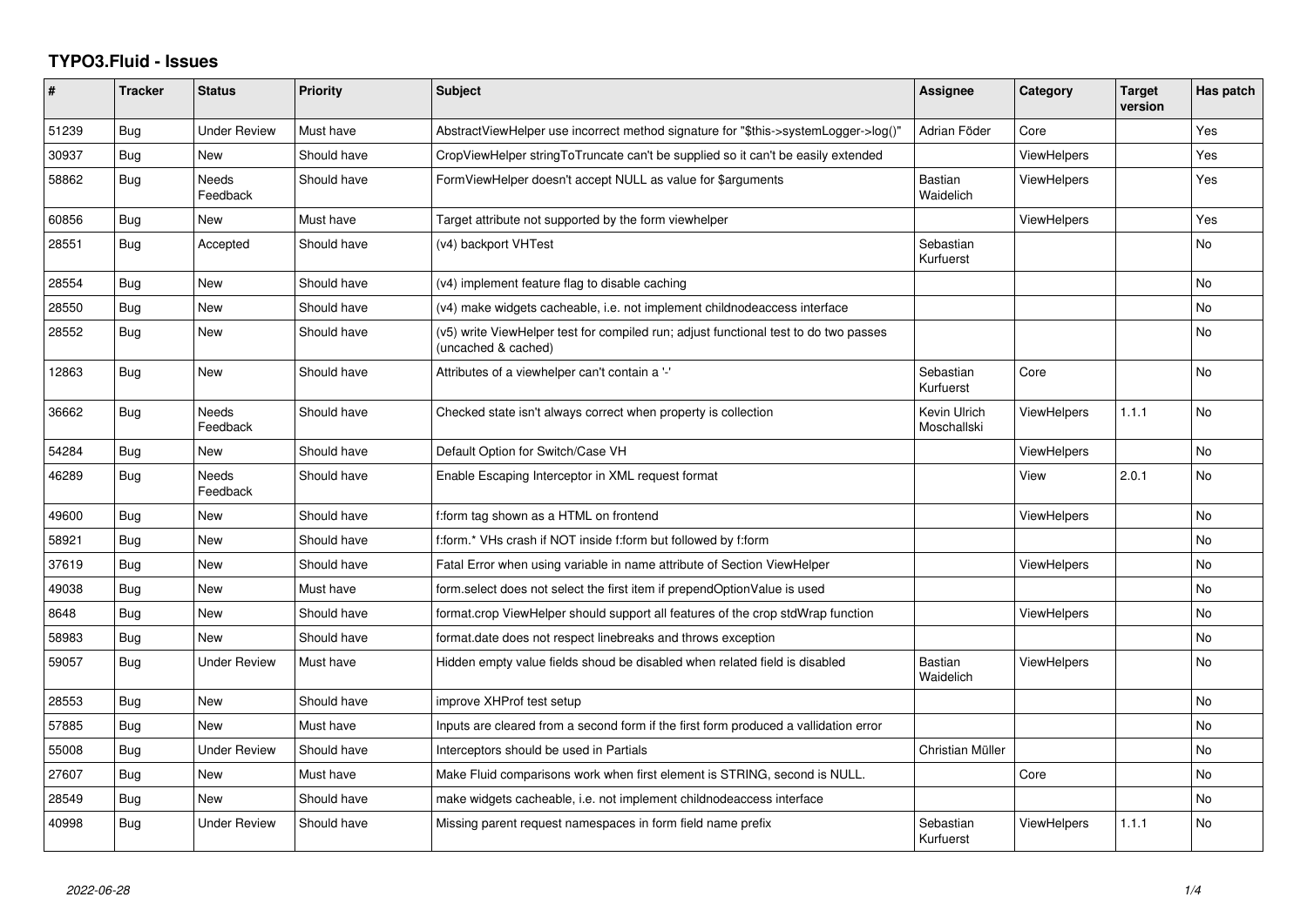## **TYPO3.Fluid - Issues**

| ∦     | <b>Tracker</b> | <b>Status</b>            | <b>Priority</b> | Subject                                                                                                     | <b>Assignee</b>             | Category           | <b>Target</b><br>version | Has patch |
|-------|----------------|--------------------------|-----------------|-------------------------------------------------------------------------------------------------------------|-----------------------------|--------------------|--------------------------|-----------|
| 51239 | <b>Bug</b>     | <b>Under Review</b>      | Must have       | AbstractViewHelper use incorrect method signature for "\$this->systemLogger->log()"                         | Adrian Föder                | Core               |                          | Yes       |
| 30937 | Bug            | New                      | Should have     | CropViewHelper stringToTruncate can't be supplied so it can't be easily extended                            |                             | <b>ViewHelpers</b> |                          | Yes       |
| 58862 | Bug            | <b>Needs</b><br>Feedback | Should have     | FormViewHelper doesn't accept NULL as value for \$arguments                                                 | Bastian<br>Waidelich        | <b>ViewHelpers</b> |                          | Yes       |
| 60856 | <b>Bug</b>     | New                      | Must have       | Target attribute not supported by the form viewhelper                                                       |                             | <b>ViewHelpers</b> |                          | Yes       |
| 28551 | <b>Bug</b>     | Accepted                 | Should have     | (v4) backport VHTest                                                                                        | Sebastian<br>Kurfuerst      |                    |                          | No.       |
| 28554 | Bug            | New                      | Should have     | (v4) implement feature flag to disable caching                                                              |                             |                    |                          | No        |
| 28550 | <b>Bug</b>     | <b>New</b>               | Should have     | (v4) make widgets cacheable, i.e. not implement childnodeaccess interface                                   |                             |                    |                          | No        |
| 28552 | <b>Bug</b>     | New                      | Should have     | (v5) write ViewHelper test for compiled run; adjust functional test to do two passes<br>(uncached & cached) |                             |                    |                          | No        |
| 12863 | <b>Bug</b>     | <b>New</b>               | Should have     | Attributes of a viewhelper can't contain a '-'                                                              | Sebastian<br>Kurfuerst      | Core               |                          | No        |
| 36662 | Bug            | <b>Needs</b><br>Feedback | Should have     | Checked state isn't always correct when property is collection                                              | Kevin Ulrich<br>Moschallski | <b>ViewHelpers</b> | 1.1.1                    | No.       |
| 54284 | Bug            | New                      | Should have     | Default Option for Switch/Case VH                                                                           |                             | <b>ViewHelpers</b> |                          | No        |
| 46289 | Bug            | Needs<br>Feedback        | Should have     | Enable Escaping Interceptor in XML request format                                                           |                             | View               | 2.0.1                    | No        |
| 49600 | <b>Bug</b>     | <b>New</b>               | Should have     | f:form tag shown as a HTML on frontend                                                                      |                             | <b>ViewHelpers</b> |                          | <b>No</b> |
| 58921 | Bug            | New                      | Should have     | f:form.* VHs crash if NOT inside f:form but followed by f:form                                              |                             |                    |                          | No        |
| 37619 | <b>Bug</b>     | <b>New</b>               | Should have     | Fatal Error when using variable in name attribute of Section ViewHelper                                     |                             | <b>ViewHelpers</b> |                          | No.       |
| 49038 | <b>Bug</b>     | New                      | Must have       | form select does not select the first item if prependOptionValue is used                                    |                             |                    |                          | No        |
| 8648  | <b>Bug</b>     | <b>New</b>               | Should have     | format.crop ViewHelper should support all features of the crop stdWrap function                             |                             | <b>ViewHelpers</b> |                          | No        |
| 58983 | <b>Bug</b>     | <b>New</b>               | Should have     | format.date does not respect linebreaks and throws exception                                                |                             |                    |                          | No.       |
| 59057 | Bug            | <b>Under Review</b>      | Must have       | Hidden empty value fields shoud be disabled when related field is disabled                                  | <b>Bastian</b><br>Waidelich | <b>ViewHelpers</b> |                          | No.       |
| 28553 | <b>Bug</b>     | New                      | Should have     | improve XHProf test setup                                                                                   |                             |                    |                          | No        |
| 57885 | <b>Bug</b>     | <b>New</b>               | Must have       | Inputs are cleared from a second form if the first form produced a vallidation error                        |                             |                    |                          | No        |
| 55008 | Bug            | Under Review             | Should have     | Interceptors should be used in Partials                                                                     | Christian Müller            |                    |                          | No.       |
| 27607 | Bug            | New                      | Must have       | Make Fluid comparisons work when first element is STRING, second is NULL.                                   |                             | Core               |                          | No.       |
| 28549 | Bug            | New                      | Should have     | make widgets cacheable, i.e. not implement childnodeaccess interface                                        |                             |                    |                          | No        |
| 40998 | Bug            | Under Review             | Should have     | Missing parent request namespaces in form field name prefix                                                 | Sebastian<br>Kurfuerst      | <b>ViewHelpers</b> | 1.1.1                    | No        |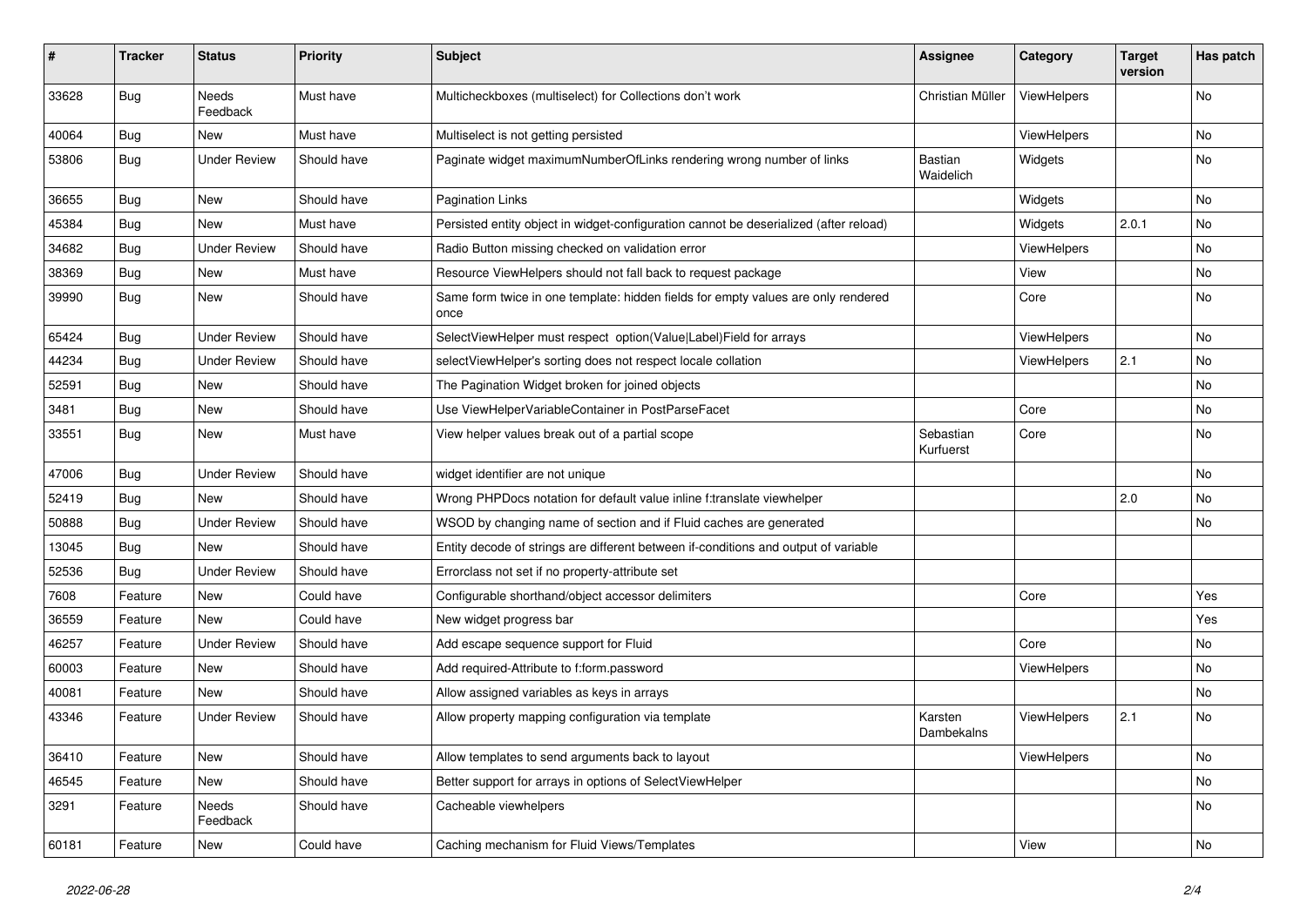| $\sharp$ | <b>Tracker</b> | <b>Status</b>            | <b>Priority</b> | <b>Subject</b>                                                                            | <b>Assignee</b>        | Category    | <b>Target</b><br>version | Has patch |
|----------|----------------|--------------------------|-----------------|-------------------------------------------------------------------------------------------|------------------------|-------------|--------------------------|-----------|
| 33628    | <b>Bug</b>     | <b>Needs</b><br>Feedback | Must have       | Multicheckboxes (multiselect) for Collections don't work                                  | Christian Müller       | ViewHelpers |                          | <b>No</b> |
| 40064    | Bug            | New                      | Must have       | Multiselect is not getting persisted                                                      |                        | ViewHelpers |                          | No        |
| 53806    | Bug            | <b>Under Review</b>      | Should have     | Paginate widget maximumNumberOfLinks rendering wrong number of links                      | Bastian<br>Waidelich   | Widgets     |                          | No        |
| 36655    | Bug            | New                      | Should have     | <b>Pagination Links</b>                                                                   |                        | Widgets     |                          | No        |
| 45384    | Bug            | New                      | Must have       | Persisted entity object in widget-configuration cannot be deserialized (after reload)     |                        | Widgets     | 2.0.1                    | No        |
| 34682    | Bug            | <b>Under Review</b>      | Should have     | Radio Button missing checked on validation error                                          |                        | ViewHelpers |                          | No        |
| 38369    | Bug            | New                      | Must have       | Resource ViewHelpers should not fall back to request package                              |                        | View        |                          | No        |
| 39990    | Bug            | New                      | Should have     | Same form twice in one template: hidden fields for empty values are only rendered<br>once |                        | Core        |                          | No        |
| 65424    | Bug            | <b>Under Review</b>      | Should have     | SelectViewHelper must respect option(Value Label)Field for arrays                         |                        | ViewHelpers |                          | No        |
| 44234    | Bug            | <b>Under Review</b>      | Should have     | selectViewHelper's sorting does not respect locale collation                              |                        | ViewHelpers | 2.1                      | No        |
| 52591    | Bug            | New                      | Should have     | The Pagination Widget broken for joined objects                                           |                        |             |                          | No        |
| 3481     | Bug            | New                      | Should have     | Use ViewHelperVariableContainer in PostParseFacet                                         |                        | Core        |                          | No        |
| 33551    | Bug            | New                      | Must have       | View helper values break out of a partial scope                                           | Sebastian<br>Kurfuerst | Core        |                          | No        |
| 47006    | Bug            | <b>Under Review</b>      | Should have     | widget identifier are not unique                                                          |                        |             |                          | No        |
| 52419    | Bug            | New                      | Should have     | Wrong PHPDocs notation for default value inline f:translate viewhelper                    |                        |             | 2.0                      | No        |
| 50888    | Bug            | <b>Under Review</b>      | Should have     | WSOD by changing name of section and if Fluid caches are generated                        |                        |             |                          | No        |
| 13045    | Bug            | New                      | Should have     | Entity decode of strings are different between if-conditions and output of variable       |                        |             |                          |           |
| 52536    | Bug            | <b>Under Review</b>      | Should have     | Errorclass not set if no property-attribute set                                           |                        |             |                          |           |
| 7608     | Feature        | New                      | Could have      | Configurable shorthand/object accessor delimiters                                         |                        | Core        |                          | Yes       |
| 36559    | Feature        | New                      | Could have      | New widget progress bar                                                                   |                        |             |                          | Yes       |
| 46257    | Feature        | <b>Under Review</b>      | Should have     | Add escape sequence support for Fluid                                                     |                        | Core        |                          | No        |
| 60003    | Feature        | New                      | Should have     | Add required-Attribute to f:form.password                                                 |                        | ViewHelpers |                          | No        |
| 40081    | Feature        | New                      | Should have     | Allow assigned variables as keys in arrays                                                |                        |             |                          | No        |
| 43346    | Feature        | Under Review             | Should have     | Allow property mapping configuration via template                                         | Karsten<br>Dambekalns  | ViewHelpers | 2.1                      | No        |
| 36410    | Feature        | New                      | Should have     | Allow templates to send arguments back to layout                                          |                        | ViewHelpers |                          | No        |
| 46545    | Feature        | New                      | Should have     | Better support for arrays in options of SelectViewHelper                                  |                        |             |                          | No        |
| 3291     | Feature        | Needs<br>Feedback        | Should have     | Cacheable viewhelpers                                                                     |                        |             |                          | No        |
| 60181    | Feature        | New                      | Could have      | Caching mechanism for Fluid Views/Templates                                               |                        | View        |                          | No        |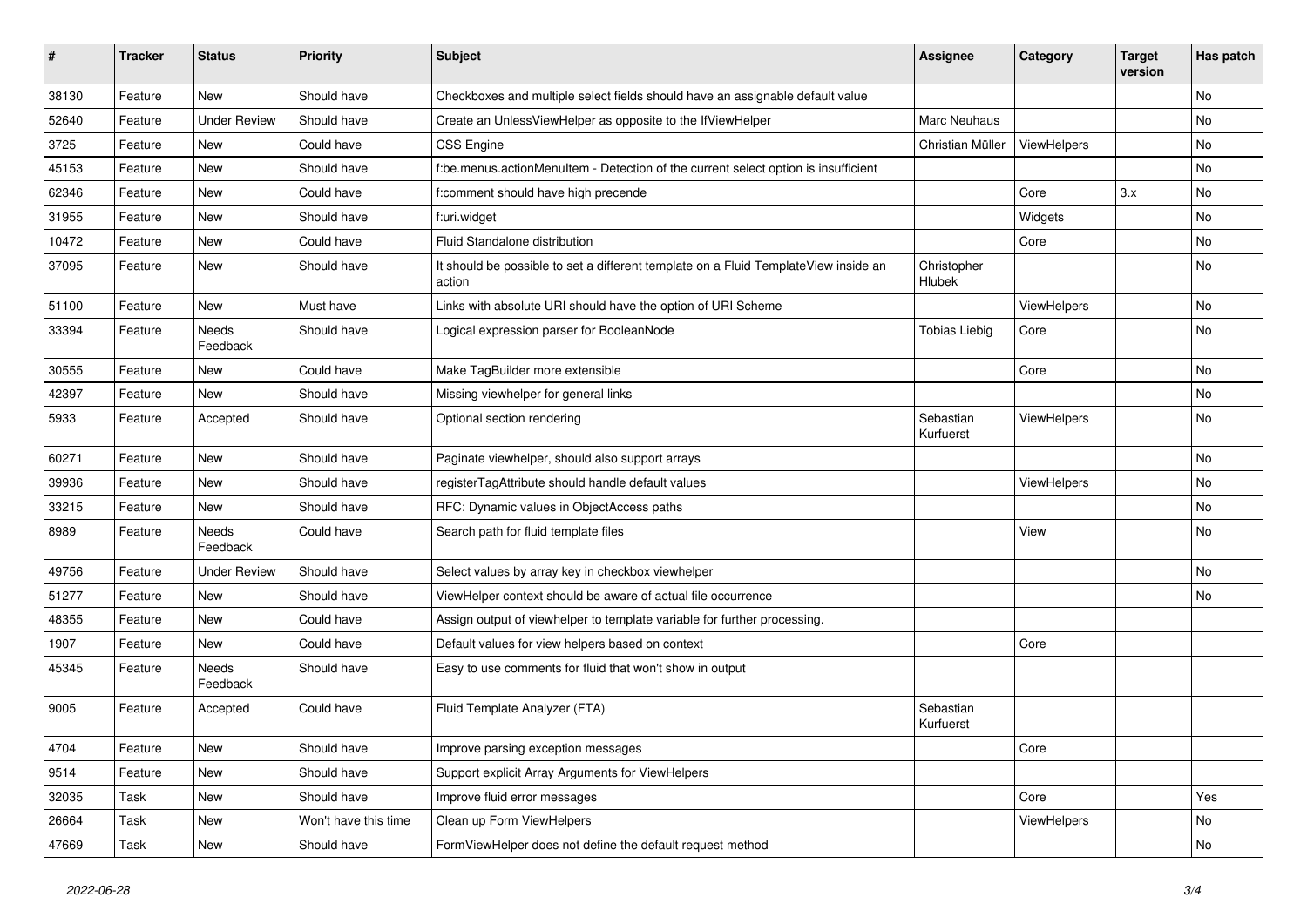| #     | <b>Tracker</b> | <b>Status</b>            | <b>Priority</b>      | Subject                                                                                       | <b>Assignee</b>        | Category    | <b>Target</b><br>version | Has patch |
|-------|----------------|--------------------------|----------------------|-----------------------------------------------------------------------------------------------|------------------------|-------------|--------------------------|-----------|
| 38130 | Feature        | New                      | Should have          | Checkboxes and multiple select fields should have an assignable default value                 |                        |             |                          | <b>No</b> |
| 52640 | Feature        | <b>Under Review</b>      | Should have          | Create an UnlessViewHelper as opposite to the IfViewHelper                                    | Marc Neuhaus           |             |                          | No        |
| 3725  | Feature        | New                      | Could have           | <b>CSS Engine</b>                                                                             | Christian Müller       | ViewHelpers |                          | No        |
| 45153 | Feature        | New                      | Should have          | f:be.menus.actionMenuItem - Detection of the current select option is insufficient            |                        |             |                          | No        |
| 62346 | Feature        | <b>New</b>               | Could have           | f:comment should have high precende                                                           |                        | Core        | 3.x                      | No        |
| 31955 | Feature        | New                      | Should have          | f:uri.widget                                                                                  |                        | Widgets     |                          | No        |
| 10472 | Feature        | New                      | Could have           | Fluid Standalone distribution                                                                 |                        | Core        |                          | No        |
| 37095 | Feature        | New                      | Should have          | It should be possible to set a different template on a Fluid TemplateView inside an<br>action | Christopher<br>Hlubek  |             |                          | No        |
| 51100 | Feature        | New                      | Must have            | Links with absolute URI should have the option of URI Scheme                                  |                        | ViewHelpers |                          | No        |
| 33394 | Feature        | <b>Needs</b><br>Feedback | Should have          | Logical expression parser for BooleanNode                                                     | <b>Tobias Liebig</b>   | Core        |                          | No        |
| 30555 | Feature        | New                      | Could have           | Make TagBuilder more extensible                                                               |                        | Core        |                          | <b>No</b> |
| 42397 | Feature        | <b>New</b>               | Should have          | Missing viewhelper for general links                                                          |                        |             |                          | <b>No</b> |
| 5933  | Feature        | Accepted                 | Should have          | Optional section rendering                                                                    | Sebastian<br>Kurfuerst | ViewHelpers |                          | No        |
| 60271 | Feature        | New                      | Should have          | Paginate viewhelper, should also support arrays                                               |                        |             |                          | <b>No</b> |
| 39936 | Feature        | New                      | Should have          | registerTagAttribute should handle default values                                             |                        | ViewHelpers |                          | No        |
| 33215 | Feature        | New                      | Should have          | RFC: Dynamic values in ObjectAccess paths                                                     |                        |             |                          | No        |
| 8989  | Feature        | Needs<br>Feedback        | Could have           | Search path for fluid template files                                                          |                        | View        |                          | No        |
| 49756 | Feature        | <b>Under Review</b>      | Should have          | Select values by array key in checkbox viewhelper                                             |                        |             |                          | <b>No</b> |
| 51277 | Feature        | New                      | Should have          | ViewHelper context should be aware of actual file occurrence                                  |                        |             |                          | No        |
| 48355 | Feature        | New                      | Could have           | Assign output of viewhelper to template variable for further processing.                      |                        |             |                          |           |
| 1907  | Feature        | <b>New</b>               | Could have           | Default values for view helpers based on context                                              |                        | Core        |                          |           |
| 45345 | Feature        | Needs<br>Feedback        | Should have          | Easy to use comments for fluid that won't show in output                                      |                        |             |                          |           |
| 9005  | Feature        | Accepted                 | Could have           | Fluid Template Analyzer (FTA)                                                                 | Sebastian<br>Kurfuerst |             |                          |           |
| 4704  | Feature        | New                      | Should have          | Improve parsing exception messages                                                            |                        | Core        |                          |           |
| 9514  | Feature        | New                      | Should have          | Support explicit Array Arguments for ViewHelpers                                              |                        |             |                          |           |
| 32035 | Task           | New                      | Should have          | Improve fluid error messages                                                                  |                        | Core        |                          | Yes       |
| 26664 | Task           | New                      | Won't have this time | Clean up Form ViewHelpers                                                                     |                        | ViewHelpers |                          | No        |
| 47669 | Task           | New                      | Should have          | FormViewHelper does not define the default request method                                     |                        |             |                          | No        |